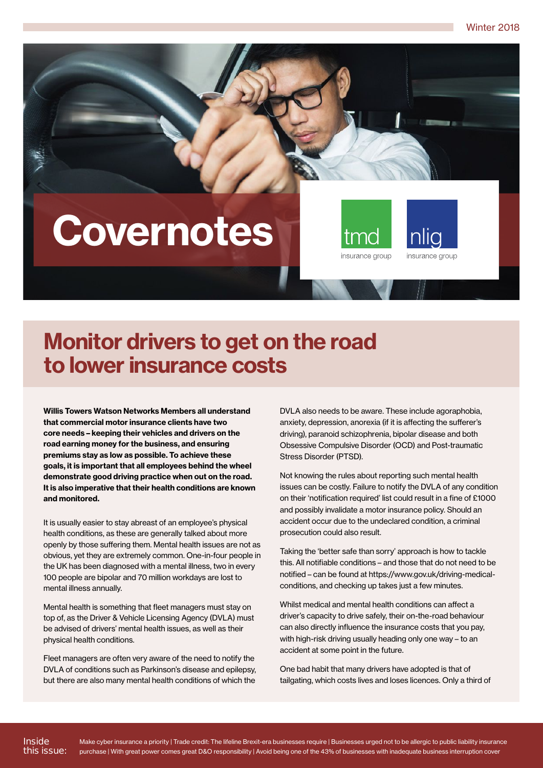Winter 2018



## Monitor drivers to get on the road to lower insurance costs

Willis Towers Watson Networks Members all understand that commercial motor insurance clients have two core needs – keeping their vehicles and drivers on the road earning money for the business, and ensuring premiums stay as low as possible. To achieve these goals, it is important that all employees behind the wheel demonstrate good driving practice when out on the road. It is also imperative that their health conditions are known and monitored.

It is usually easier to stay abreast of an employee's physical health conditions, as these are generally talked about more openly by those suffering them. Mental health issues are not as obvious, yet they are extremely common. One-in-four people in the UK has been diagnosed with a mental illness, two in every 100 people are bipolar and 70 million workdays are lost to mental illness annually.

Mental health is something that fleet managers must stay on top of, as the Driver & Vehicle Licensing Agency (DVLA) must be advised of drivers' mental health issues, as well as their physical health conditions.

Fleet managers are often very aware of the need to notify the DVLA of conditions such as Parkinson's disease and epilepsy, but there are also many mental health conditions of which the

DVLA also needs to be aware. These include agoraphobia, anxiety, depression, anorexia (if it is affecting the sufferer's driving), paranoid schizophrenia, bipolar disease and both Obsessive Compulsive Disorder (OCD) and Post-traumatic Stress Disorder (PTSD).

Not knowing the rules about reporting such mental health issues can be costly. Failure to notify the DVLA of any condition on their 'notification required' list could result in a fine of £1000 and possibly invalidate a motor insurance policy. Should an accident occur due to the undeclared condition, a criminal prosecution could also result.

Taking the 'better safe than sorry' approach is how to tackle this. All notifiable conditions – and those that do not need to be notified – can be found at https://www.gov.uk/driving-medicalconditions, and checking up takes just a few minutes.

Whilst medical and mental health conditions can affect a driver's capacity to drive safely, their on-the-road behaviour can also directly influence the insurance costs that you pay, with high-risk driving usually heading only one way – to an accident at some point in the future.

One bad habit that many drivers have adopted is that of tailgating, which costs lives and loses licences. Only a third of

Inside this issue: Make cyber insurance a priority | Trade credit: The lifeline Brexit-era businesses require | Businesses urged not to be allergic to public liability insurance purchase | With great power comes great D&O responsibility | Avoid being one of the 43% of businesses with inadequate business interruption cover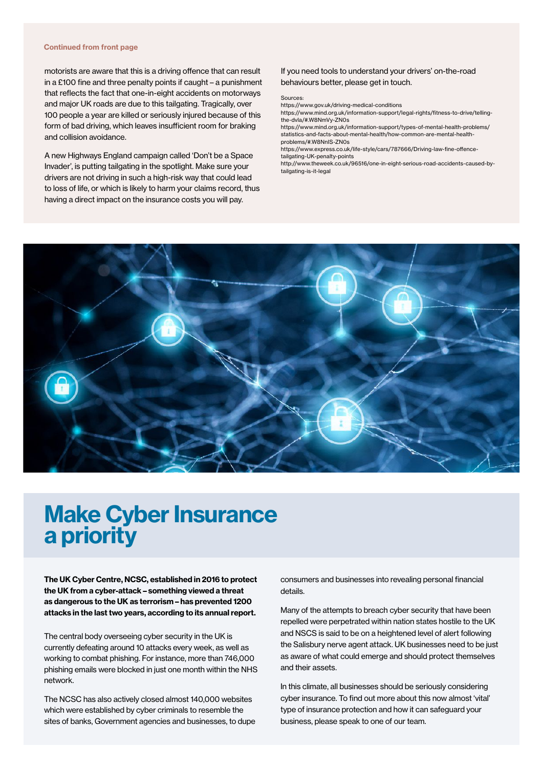#### Continued from front page

motorists are aware that this is a driving offence that can result in a £100 fine and three penalty points if caught – a punishment that reflects the fact that one-in-eight accidents on motorways and major UK roads are due to this tailgating. Tragically, over 100 people a year are killed or seriously injured because of this form of bad driving, which leaves insufficient room for braking and collision avoidance.

A new Highways England campaign called 'Don't be a Space Invader', is putting tailgating in the spotlight. Make sure your drivers are not driving in such a high-risk way that could lead to loss of life, or which is likely to harm your claims record, thus having a direct impact on the insurance costs you will pay.

#### If you need tools to understand your drivers' on-the-road behaviours better, please get in touch.

#### Sources:

https://www.gov.uk/driving-medical-conditions

https://www.mind.org.uk/information-support/legal-rights/fitness-to-drive/tellingthe-dvla/#.W8NmVy-ZN0s

https://www.mind.org.uk/information-support/types-of-mental-health-problems/ statistics-and-facts-about-mental-health/how-common-are-mental-healthproblems/#.W8NnIS-ZN0s

https://www.express.co.uk/life-style/cars/787666/Driving-law-fine-offencetailgating-UK-penalty-points

http://www.theweek.co.uk/96516/one-in-eight-serious-road-accidents-caused-bytailgating-is-it-legal



## Make Cyber Insurance a priority

The UK Cyber Centre, NCSC, established in 2016 to protect the UK from a cyber-attack – something viewed a threat as dangerous to the UK as terrorism – has prevented 1200 attacks in the last two years, according to its annual report.

The central body overseeing cyber security in the UK is currently defeating around 10 attacks every week, as well as working to combat phishing. For instance, more than 746,000 phishing emails were blocked in just one month within the NHS network.

The NCSC has also actively closed almost 140,000 websites which were established by cyber criminals to resemble the sites of banks, Government agencies and businesses, to dupe consumers and businesses into revealing personal financial details.

Many of the attempts to breach cyber security that have been repelled were perpetrated within nation states hostile to the UK and NSCS is said to be on a heightened level of alert following the Salisbury nerve agent attack. UK businesses need to be just as aware of what could emerge and should protect themselves and their assets.

In this climate, all businesses should be seriously considering cyber insurance. To find out more about this now almost 'vital' type of insurance protection and how it can safeguard your business, please speak to one of our team.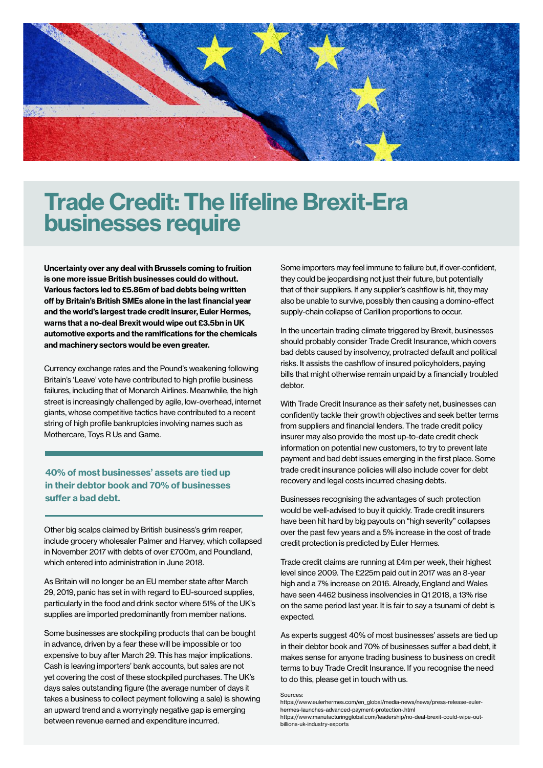

## Trade Credit: The lifeline Brexit-Era businesses require

Uncertainty over any deal with Brussels coming to fruition is one more issue British businesses could do without. Various factors led to £5.86m of bad debts being written off by Britain's British SMEs alone in the last financial year and the world's largest trade credit insurer, Euler Hermes, warns that a no-deal Brexit would wipe out £3.5bn in UK automotive exports and the ramifications for the chemicals and machinery sectors would be even greater.

Currency exchange rates and the Pound's weakening following Britain's 'Leave' vote have contributed to high profile business failures, including that of Monarch Airlines. Meanwhile, the high street is increasingly challenged by agile, low-overhead, internet giants, whose competitive tactics have contributed to a recent string of high profile bankruptcies involving names such as Mothercare, Toys R Us and Game.

40% of most businesses' assets are tied up in their debtor book and 70% of businesses suffer a bad debt.

Other big scalps claimed by British business's grim reaper, include grocery wholesaler Palmer and Harvey, which collapsed in November 2017 with debts of over £700m, and Poundland, which entered into administration in June 2018.

As Britain will no longer be an EU member state after March 29, 2019, panic has set in with regard to EU-sourced supplies, particularly in the food and drink sector where 51% of the UK's supplies are imported predominantly from member nations.

Some businesses are stockpiling products that can be bought in advance, driven by a fear these will be impossible or too expensive to buy after March 29. This has major implications. Cash is leaving importers' bank accounts, but sales are not yet covering the cost of these stockpiled purchases. The UK's days sales outstanding figure (the average number of days it takes a business to collect payment following a sale) is showing an upward trend and a worryingly negative gap is emerging between revenue earned and expenditure incurred.

Some importers may feel immune to failure but, if over-confident, they could be jeopardising not just their future, but potentially that of their suppliers. If any supplier's cashflow is hit, they may also be unable to survive, possibly then causing a domino-effect supply-chain collapse of Carillion proportions to occur.

In the uncertain trading climate triggered by Brexit, businesses should probably consider Trade Credit Insurance, which covers bad debts caused by insolvency, protracted default and political risks. It assists the cashflow of insured policyholders, paying bills that might otherwise remain unpaid by a financially troubled debtor.

With Trade Credit Insurance as their safety net, businesses can confidently tackle their growth objectives and seek better terms from suppliers and financial lenders. The trade credit policy insurer may also provide the most up-to-date credit check information on potential new customers, to try to prevent late payment and bad debt issues emerging in the first place. Some trade credit insurance policies will also include cover for debt recovery and legal costs incurred chasing debts.

Businesses recognising the advantages of such protection would be well-advised to buy it quickly. Trade credit insurers have been hit hard by big payouts on "high severity" collapses over the past few years and a 5% increase in the cost of trade credit protection is predicted by Euler Hermes.

Trade credit claims are running at £4m per week, their highest level since 2009. The £225m paid out in 2017 was an 8-year high and a 7% increase on 2016. Already, England and Wales have seen 4462 business insolvencies in Q1 2018, a 13% rise on the same period last year. It is fair to say a tsunami of debt is expected.

As experts suggest 40% of most businesses' assets are tied up in their debtor book and 70% of businesses suffer a bad debt, it makes sense for anyone trading business to business on credit terms to buy Trade Credit Insurance. If you recognise the need to do this, please get in touch with us.

#### Sources:

https://www.eulerhermes.com/en\_global/media-news/news/press-release-eulerhermes-launches-advanced-payment-protection-.html https://www.manufacturingglobal.com/leadership/no-deal-brexit-could-wipe-outbillions-uk-industry-exports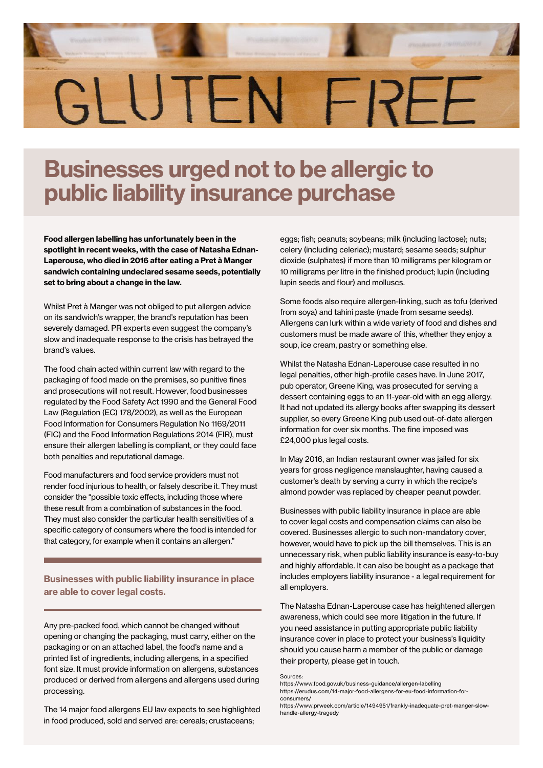# GLUTEN FRFF

# Businesses urged not to be allergic to public liability insurance purchase

Food allergen labelling has unfortunately been in the spotlight in recent weeks, with the case of Natasha Ednan-Laperouse, who died in 2016 after eating a Pret à Manger sandwich containing undeclared sesame seeds, potentially set to bring about a change in the law.

Whilst Pret à Manger was not obliged to put allergen advice on its sandwich's wrapper, the brand's reputation has been severely damaged. PR experts even suggest the company's slow and inadequate response to the crisis has betrayed the brand's values.

The food chain acted within current law with regard to the packaging of food made on the premises, so punitive fines and prosecutions will not result. However, food businesses regulated by the Food Safety Act 1990 and the General Food Law (Regulation (EC) 178/2002), as well as the European Food Information for Consumers Regulation No 1169/2011 (FIC) and the Food Information Regulations 2014 (FIR), must ensure their allergen labelling is compliant, or they could face both penalties and reputational damage.

Food manufacturers and food service providers must not render food injurious to health, or falsely describe it. They must consider the "possible toxic effects, including those where these result from a combination of substances in the food. They must also consider the particular health sensitivities of a specific category of consumers where the food is intended for that category, for example when it contains an allergen."

## Businesses with public liability insurance in place are able to cover legal costs.

Any pre-packed food, which cannot be changed without opening or changing the packaging, must carry, either on the packaging or on an attached label, the food's name and a printed list of ingredients, including allergens, in a specified font size. It must provide information on allergens, substances produced or derived from allergens and allergens used during processing.

The 14 major food allergens EU law expects to see highlighted in food produced, sold and served are: cereals; crustaceans;

eggs; fish; peanuts; soybeans; milk (including lactose); nuts; celery (including celeriac); mustard; sesame seeds; sulphur dioxide (sulphates) if more than 10 milligrams per kilogram or 10 milligrams per litre in the finished product; lupin (including lupin seeds and flour) and molluscs.

Some foods also require allergen-linking, such as tofu (derived from soya) and tahini paste (made from sesame seeds). Allergens can lurk within a wide variety of food and dishes and customers must be made aware of this, whether they enjoy a soup, ice cream, pastry or something else.

Whilst the Natasha Ednan-Laperouse case resulted in no legal penalties, other high-profile cases have. In June 2017, pub operator, Greene King, was prosecuted for serving a dessert containing eggs to an 11-year-old with an egg allergy. It had not updated its allergy books after swapping its dessert supplier, so every Greene King pub used out-of-date allergen information for over six months. The fine imposed was £24,000 plus legal costs.

In May 2016, an Indian restaurant owner was jailed for six years for gross negligence manslaughter, having caused a customer's death by serving a curry in which the recipe's almond powder was replaced by cheaper peanut powder.

Businesses with public liability insurance in place are able to cover legal costs and compensation claims can also be covered. Businesses allergic to such non-mandatory cover, however, would have to pick up the bill themselves. This is an unnecessary risk, when public liability insurance is easy-to-buy and highly affordable. It can also be bought as a package that includes employers liability insurance - a legal requirement for all employers.

The Natasha Ednan-Laperouse case has heightened allergen awareness, which could see more litigation in the future. If you need assistance in putting appropriate public liability insurance cover in place to protect your business's liquidity should you cause harm a member of the public or damage their property, please get in touch.

Sources:

https://www.food.gov.uk/business-guidance/allergen-labelling https://erudus.com/14-major-food-allergens-for-eu-food-information-forconsumers/

https://www.prweek.com/article/1494951/frankly-inadequate-pret-manger-slowhandle-allergy-tragedy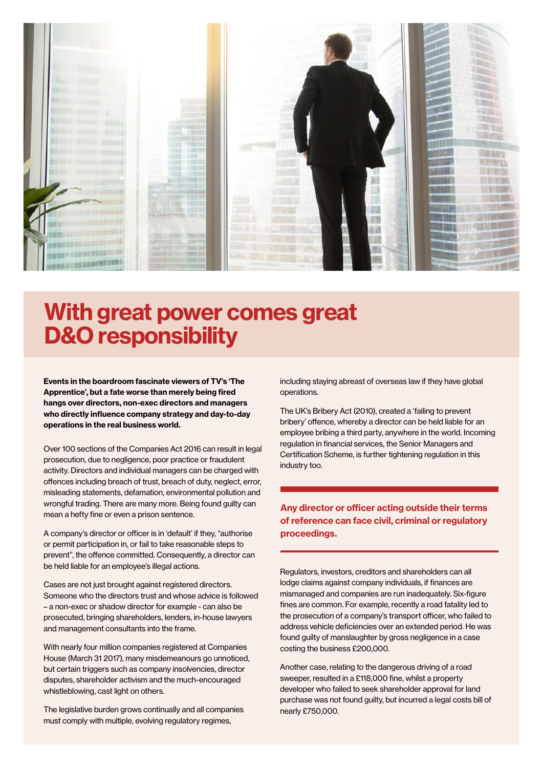

# With great power comes great D&O responsibility

Events in the boardroom fascinate viewers of TV's 'The Apprentice', but a fate worse than merely being fired hangs over directors, non-exec directors and managers who directly influence company strategy and day-to-day operations in the real business world.

Over 100 sections of the Companies Act 2016 can result in legal prosecution, due to negligence, poor practice or fraudulent activity. Directors and individual managers can be charged with offences including breach of trust, breach of duty, neglect, error, misleading statements, defamation, environmental pollution and wrongful trading. There are many more. Being found guilty can mean a hefty fine or even a prison sentence.

A company's director or officer is in 'default' if they, "authorise or permit participation in, or fail to take reasonable steps to prevent", the offence committed. Consequently, a director can be held liable for an employee's illegal actions.

Cases are not just brought against registered directors. Someone who the directors trust and whose advice is followed – a non-exec or shadow director for example - can also be prosecuted, bringing shareholders, lenders, in-house lawyers and management consultants into the frame.

With nearly four million companies registered at Companies House (March 31 2017), many misdemeanours go unnoticed, but certain triggers such as company insolvencies, director disputes, shareholder activism and the much-encouraged whistleblowing, cast light on others.

The legislative burden grows continually and all companies must comply with multiple, evolving regulatory regimes,

including staying abreast of overseas law if they have global operations.

The UK's Bribery Act (2010), created a 'failing to prevent bribery' offence, whereby a director can be held liable for an employee bribing a third party, anywhere in the world. Incoming regulation in financial services, the Senior Managers and Certification Scheme, is further tightening regulation in this industry too.

## Any director or officer acting outside their terms of reference can face civil, criminal or regulatory proceedings.

Regulators, investors, creditors and shareholders can all lodge claims against company individuals, if finances are mismanaged and companies are run inadequately. Six-figure fines are common. For example, recently a road fatality led to the prosecution of a company's transport officer, who failed to address vehicle deficiencies over an extended period. He was found guilty of manslaughter by gross negligence in a case costing the business £200,000.

Another case, relating to the dangerous driving of a road sweeper, resulted in a £118,000 fine, whilst a property developer who failed to seek shareholder approval for land purchase was not found guilty, but incurred a legal costs bill of nearly £750,000.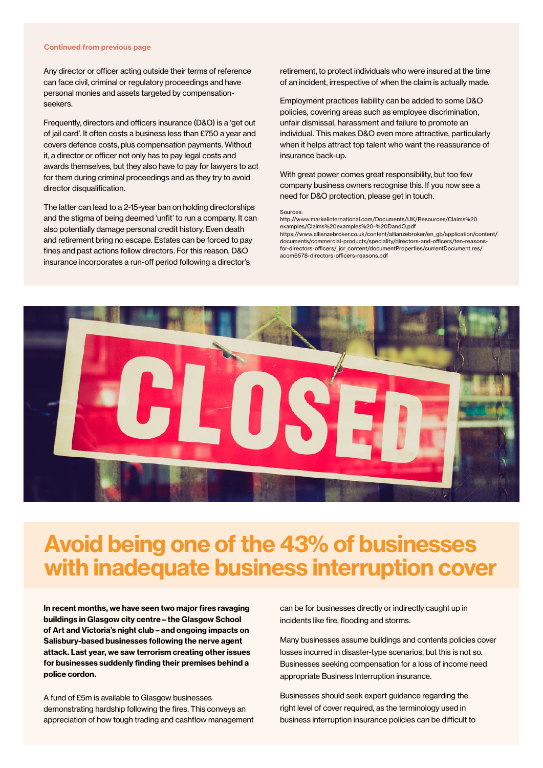#### Continued from previous page

Any director or officer acting outside their terms of reference can face civil, criminal or regulatory proceedings and have personal monies and assets targeted by compensationseekers.

Frequently, directors and officers insurance (D&O) is a 'get out of jail card'. It often costs a business less than £750 a year and covers defence costs, plus compensation payments. Without it, a director or officer not only has to pay legal costs and awards themselves, but they also have to pay for lawyers to act for them during criminal proceedings and as they try to avoid director disqualification.

The latter can lead to a 2-15-year ban on holding directorships and the stigma of being deemed 'unfit' to run a company. It can also potentially damage personal credit history. Even death and retirement bring no escape. Estates can be forced to pay fines and past actions follow directors. For this reason, D&O insurance incorporates a run-off period following a director's

retirement, to protect individuals who were insured at the time of an incident, irrespective of when the claim is actually made.

Employment practices liability can be added to some D&O policies, covering areas such as employee discrimination, unfair dismissal, harassment and failure to promote an individual. This makes D&O even more attractive, particularly when it helps attract top talent who want the reassurance of insurance back-up.

With great power comes great responsibility, but too few company business owners recognise this. If you now see a need for D&O protection, please get in touch.

#### Sources:

http://www.markelinternational.com/Documents/UK/Resources/Claims%20 examples/Claims%20examples%20-%20DandO.pdf https://www.allianzebroker.co.uk/content/allianzebroker/en\_gb/application/content/ documents/commercial-products/speciality/directors-and-officers/ten-reasonsfor-directors-officers/\_jcr\_content/documentProperties/currentDocument.res/ acom6578-directors-officers-reasons.pdf



# Avoid being one of the 43% of businesses with inadequate business interruption cover

In recent months, we have seen two major fires ravaging buildings in Glasgow city centre – the Glasgow School of Art and Victoria's night club – and ongoing impacts on Salisbury-based businesses following the nerve agent attack. Last year, we saw terrorism creating other issues for businesses suddenly finding their premises behind a police cordon.

A fund of £5m is available to Glasgow businesses demonstrating hardship following the fires. This conveys an appreciation of how tough trading and cashflow management can be for businesses directly or indirectly caught up in incidents like fire, flooding and storms.

Many businesses assume buildings and contents policies cover losses incurred in disaster-type scenarios, but this is not so. Businesses seeking compensation for a loss of income need appropriate Business Interruption insurance.

Businesses should seek expert guidance regarding the right level of cover required, as the terminology used in business interruption insurance policies can be difficult to